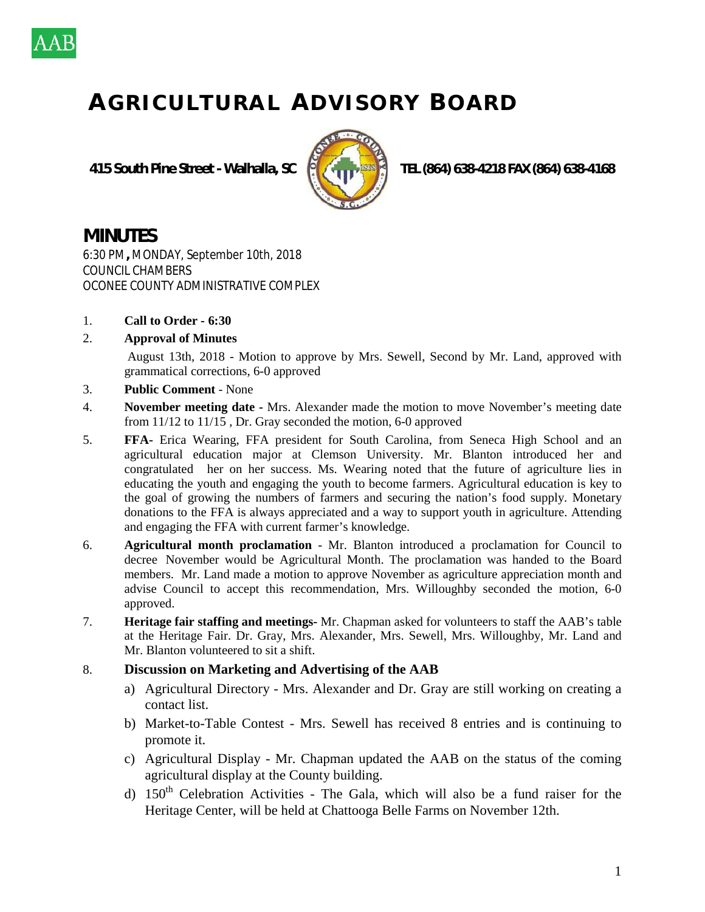

## **A G R I C U L T U R A L A D V I S O R Y B O A R D**

 **415 South Pine Street - Walhalla, SC TEL (864) 638-4218 FAX (864) 638-4168**



## **MINUTES**

6:30 PM**,** MONDAY, September 10th, 2018 COUNCIL CHAMBERS OCONEE COUNTY ADMINISTRATIVE COMPLEX

- 1. **Call to Order - 6:30**
- 2. **Approval of Minutes**

August 13th, 2018 - Motion to approve by Mrs. Sewell, Second by Mr. Land, approved with grammatical corrections, 6-0 approved

- 3. **Public Comment** None
- 4. **November meeting date -** Mrs. Alexander made the motion to move November's meeting date from 11/12 to 11/15 , Dr. Gray seconded the motion, 6-0 approved
- 5. **FFA-** Erica Wearing, FFA president for South Carolina, from Seneca High School and an agricultural education major at Clemson University. Mr. Blanton introduced her and congratulated her on her success. Ms. Wearing noted that the future of agriculture lies in educating the youth and engaging the youth to become farmers. Agricultural education is key to the goal of growing the numbers of farmers and securing the nation's food supply. Monetary donations to the FFA is always appreciated and a way to support youth in agriculture. Attending and engaging the FFA with current farmer's knowledge.
- 6. **Agricultural month proclamation** Mr. Blanton introduced a proclamation for Council to decree November would be Agricultural Month. The proclamation was handed to the Board members. Mr. Land made a motion to approve November as agriculture appreciation month and advise Council to accept this recommendation, Mrs. Willoughby seconded the motion, 6-0 approved.
- 7. **Heritage fair staffing and meetings-** Mr. Chapman asked for volunteers to staff the AAB's table at the Heritage Fair. Dr. Gray, Mrs. Alexander, Mrs. Sewell, Mrs. Willoughby, Mr. Land and Mr. Blanton volunteered to sit a shift.

## 8. **Discussion on Marketing and Advertising of the AAB**

- a) Agricultural Directory Mrs. Alexander and Dr. Gray are still working on creating a contact list.
- b) Market-to-Table Contest Mrs. Sewell has received 8 entries and is continuing to promote it.
- c) Agricultural Display Mr. Chapman updated the AAB on the status of the coming agricultural display at the County building.
- d)  $150<sup>th</sup>$  Celebration Activities The Gala, which will also be a fund raiser for the Heritage Center, will be held at Chattooga Belle Farms on November 12th.